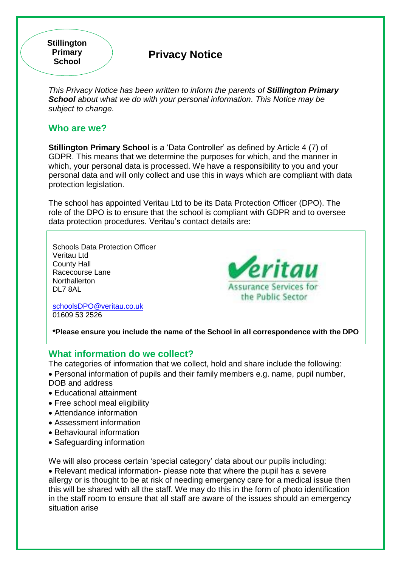**Stillington Primary School**

# **Privacy Notice**

*This Privacy Notice has been written to inform the parents of Stillington Primary School about what we do with your personal information. This Notice may be subject to change.*

#### **Who are we?**

**Stillington Primary School** is a 'Data Controller' as defined by Article 4 (7) of GDPR. This means that we determine the purposes for which, and the manner in which, your personal data is processed. We have a responsibility to you and your personal data and will only collect and use this in ways which are compliant with data protection legislation.

The school has appointed Veritau Ltd to be its Data Protection Officer (DPO). The role of the DPO is to ensure that the school is compliant with GDPR and to oversee data protection procedures. Veritau's contact details are:

Schools Data Protection Officer Veritau Ltd County Hall Racecourse Lane **Northallerton** DL7 8AL

**Peritau Assurance Services for** the Public Sector

[schoolsDPO@veritau.co.uk](mailto:schoolsDPO@veritau.co.uk) 01609 53 2526

**\*Please ensure you include the name of the School in all correspondence with the DPO** 

## **What information do we collect?**

The categories of information that we collect, hold and share include the following: Personal information of pupils and their family members e.g. name, pupil number,

- DOB and address
- Educational attainment
- Free school meal eligibility
- Attendance information
- Assessment information
- Behavioural information
- Safeguarding information

We will also process certain 'special category' data about our pupils including: Relevant medical information- please note that where the pupil has a severe allergy or is thought to be at risk of needing emergency care for a medical issue then this will be shared with all the staff. We may do this in the form of photo identification in the staff room to ensure that all staff are aware of the issues should an emergency situation arise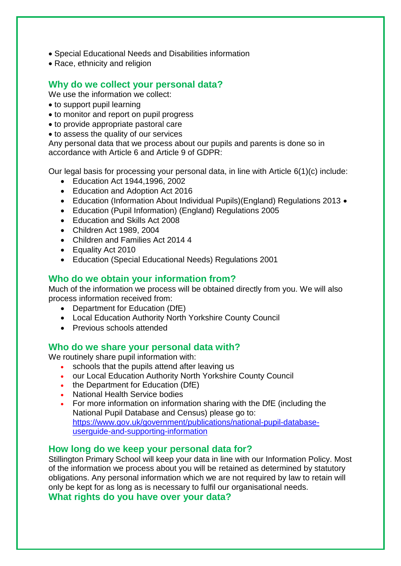- Special Educational Needs and Disabilities information
- Race, ethnicity and religion

# **Why do we collect your personal data?**

We use the information we collect:

- to support pupil learning
- to monitor and report on pupil progress
- to provide appropriate pastoral care
- to assess the quality of our services

Any personal data that we process about our pupils and parents is done so in accordance with Article 6 and Article 9 of GDPR:

Our legal basis for processing your personal data, in line with Article 6(1)(c) include:

- Education Act 1944,1996, 2002
- Education and Adoption Act 2016
- Education (Information About Individual Pupils)(England) Regulations 2013 •
- Education (Pupil Information) (England) Regulations 2005
- Education and Skills Act 2008
- Children Act 1989, 2004
- Children and Families Act 2014 4
- Equality Act 2010
- Education (Special Educational Needs) Regulations 2001

# **Who do we obtain your information from?**

Much of the information we process will be obtained directly from you. We will also process information received from:

- Department for Education (DfE)
- Local Education Authority North Yorkshire County Council
- Previous schools attended

#### **Who do we share your personal data with?**

We routinely share pupil information with:

- schools that the pupils attend after leaving us
- our Local Education Authority North Yorkshire County Council
- the Department for Education (DfE)
- National Health Service bodies
- For more information on information sharing with the DfE (including the National Pupil Database and Census) please go to: [https://www.gov.uk/government/publications/national-pupil-database](https://www.gov.uk/government/publications/national-pupil-database-userguide-and-supporting-information)[userguide-and-supporting-information](https://www.gov.uk/government/publications/national-pupil-database-userguide-and-supporting-information)

## **How long do we keep your personal data for?**

Stillington Primary School will keep your data in line with our Information Policy. Most of the information we process about you will be retained as determined by statutory obligations. Any personal information which we are not required by law to retain will only be kept for as long as is necessary to fulfil our organisational needs.

**What rights do you have over your data?**